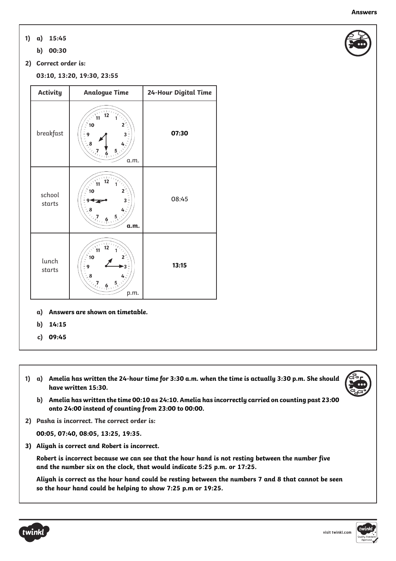- **a) 15:45 1)**
	- **b) 00:30**
- **2) Correct order is:**

**03:10, 13:20, 19:30, 23:55**

| <b>Activity</b>  | <b>Analogue Time</b>                                                                                             | 24-Hour Digital Time |
|------------------|------------------------------------------------------------------------------------------------------------------|----------------------|
| breakfast        | $\blacksquare$<br>12<br>11<br>10<br>$\frac{1}{2}$<br>9<br>a.m.                                                   | 07:30                |
| school<br>starts | o<br>10<br>$8 - 8$<br>$\frac{5}{10}$<br>a.m.                                                                     | 08:45                |
| lunch<br>starts  | 1.01<br>$\lambda$<br>11<br>10<br>9<br>$\begin{matrix} 2 & 8 \\ 6 & 7 \\ 1 & 6 \\ 1 & 1 & 1 \end{matrix}$<br>p.m. | 13:15                |

- **a) Answers are shown on timetable.**
- **b) 14:15**
- **c) 09:45**
- 1) a) Amelia has written the 24-hour time for 3:30 a.m. when the time is actually 3:30 p.m. She should **have written 15:30.**
- 
- **b) Amelia has written the time 00:10 as 24:10. Amelia has incorrectly carried on counting past 23:00 onto 24:00 instead of counting from 23:00 to 00:00.**
- **2) Pasha is incorrect. The correct order is:**

**00:05, 07:40, 08:05, 13:25, 19:35.**

**3) Aliyah is correct and Robert is incorrect.**

**Robert is incorrect because we can see that the hour hand is not resting between the number five and the number six on the clock, that would indicate 5:25 p.m. or 17:25.**

Aliyah is correct as the hour hand could be resting between the numbers 7 and 8 that cannot be seen **so the hour hand could be helping to show 7:25 p.m or 19:25.**